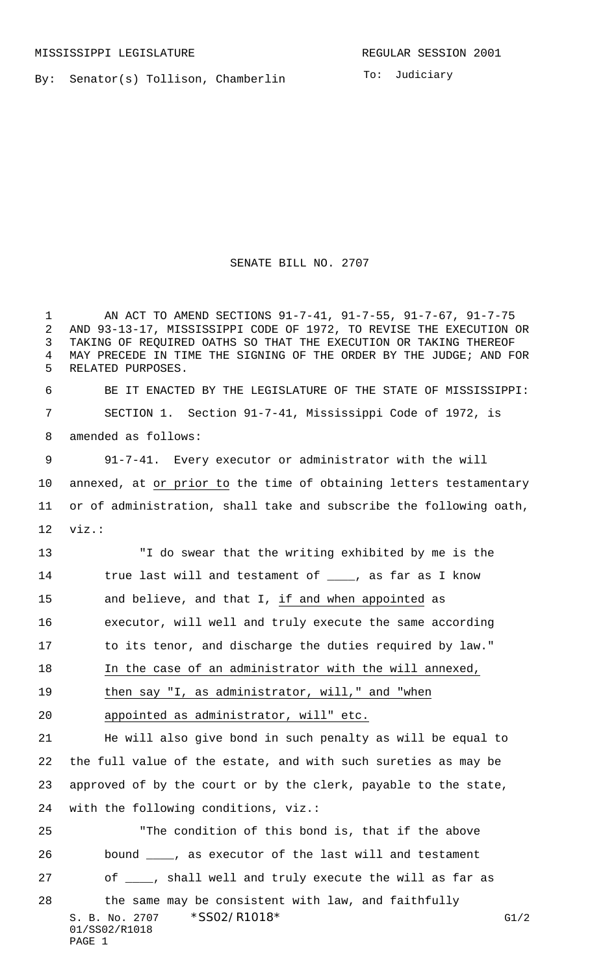By: Senator(s) Tollison, Chamberlin

To: Judiciary

## SENATE BILL NO. 2707

S. B. No. 2707 \* SS02/R1018\* G1/2 01/SS02/R1018 PAGE 1 AN ACT TO AMEND SECTIONS 91-7-41, 91-7-55, 91-7-67, 91-7-75 AND 93-13-17, MISSISSIPPI CODE OF 1972, TO REVISE THE EXECUTION OR TAKING OF REQUIRED OATHS SO THAT THE EXECUTION OR TAKING THEREOF MAY PRECEDE IN TIME THE SIGNING OF THE ORDER BY THE JUDGE; AND FOR RELATED PURPOSES. BE IT ENACTED BY THE LEGISLATURE OF THE STATE OF MISSISSIPPI: SECTION 1. Section 91-7-41, Mississippi Code of 1972, is amended as follows: 91-7-41. Every executor or administrator with the will annexed, at or prior to the time of obtaining letters testamentary or of administration, shall take and subscribe the following oath, viz.: "I do swear that the writing exhibited by me is the 14 true last will and testament of \_\_\_\_, as far as I know and believe, and that I, if and when appointed as executor, will well and truly execute the same according to its tenor, and discharge the duties required by law." In the case of an administrator with the will annexed, then say "I, as administrator, will," and "when appointed as administrator, will" etc. He will also give bond in such penalty as will be equal to the full value of the estate, and with such sureties as may be approved of by the court or by the clerk, payable to the state, with the following conditions, viz.: "The condition of this bond is, that if the above bound \_\_\_\_, as executor of the last will and testament 27 of  $\frac{1}{\sqrt{2}}$ , shall well and truly execute the will as far as the same may be consistent with law, and faithfully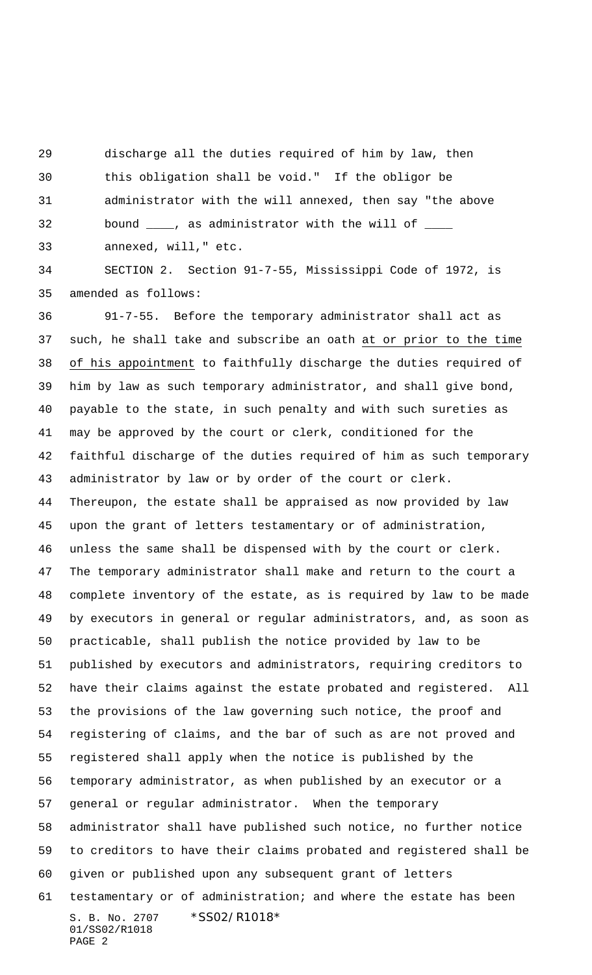discharge all the duties required of him by law, then

 this obligation shall be void." If the obligor be administrator with the will annexed, then say "the above

32 bound \_\_\_\_, as administrator with the will of \_\_\_\_\_

annexed, will," etc.

 SECTION 2. Section 91-7-55, Mississippi Code of 1972, is amended as follows:

S. B. No. 2707 \* SS02/R1018\* 01/SS02/R1018 PAGE 2 91-7-55. Before the temporary administrator shall act as such, he shall take and subscribe an oath at or prior to the time of his appointment to faithfully discharge the duties required of him by law as such temporary administrator, and shall give bond, payable to the state, in such penalty and with such sureties as may be approved by the court or clerk, conditioned for the faithful discharge of the duties required of him as such temporary administrator by law or by order of the court or clerk. Thereupon, the estate shall be appraised as now provided by law upon the grant of letters testamentary or of administration, unless the same shall be dispensed with by the court or clerk. The temporary administrator shall make and return to the court a complete inventory of the estate, as is required by law to be made by executors in general or regular administrators, and, as soon as practicable, shall publish the notice provided by law to be published by executors and administrators, requiring creditors to have their claims against the estate probated and registered. All the provisions of the law governing such notice, the proof and registering of claims, and the bar of such as are not proved and registered shall apply when the notice is published by the temporary administrator, as when published by an executor or a general or regular administrator. When the temporary administrator shall have published such notice, no further notice to creditors to have their claims probated and registered shall be given or published upon any subsequent grant of letters testamentary or of administration; and where the estate has been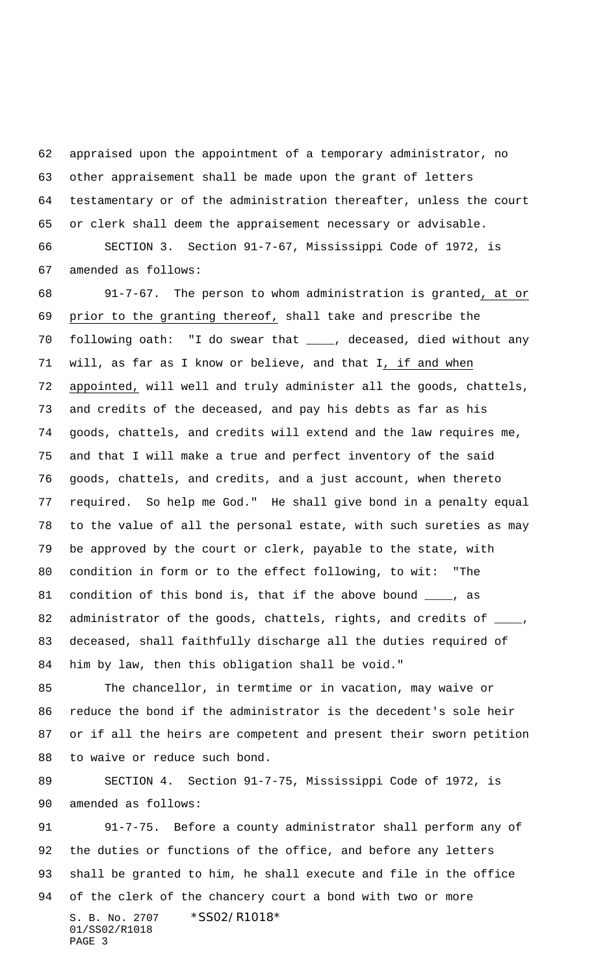appraised upon the appointment of a temporary administrator, no other appraisement shall be made upon the grant of letters testamentary or of the administration thereafter, unless the court or clerk shall deem the appraisement necessary or advisable.

 SECTION 3. Section 91-7-67, Mississippi Code of 1972, is amended as follows:

 91-7-67. The person to whom administration is granted, at or prior to the granting thereof, shall take and prescribe the following oath: "I do swear that \_\_\_\_, deceased, died without any will, as far as I know or believe, and that I, if and when appointed, will well and truly administer all the goods, chattels, and credits of the deceased, and pay his debts as far as his goods, chattels, and credits will extend and the law requires me, and that I will make a true and perfect inventory of the said goods, chattels, and credits, and a just account, when thereto required. So help me God." He shall give bond in a penalty equal to the value of all the personal estate, with such sureties as may be approved by the court or clerk, payable to the state, with condition in form or to the effect following, to wit: "The 81 condition of this bond is, that if the above bound \_\_\_\_, as 82 administrator of the goods, chattels, rights, and credits of \_ deceased, shall faithfully discharge all the duties required of him by law, then this obligation shall be void."

 The chancellor, in termtime or in vacation, may waive or reduce the bond if the administrator is the decedent's sole heir or if all the heirs are competent and present their sworn petition to waive or reduce such bond.

89 SECTION 4. Section 91-7-75, Mississippi Code of 1972, is amended as follows:

S. B. No. 2707 \* SS02/R1018\* 01/SS02/R1018 PAGE 3 91-7-75. Before a county administrator shall perform any of the duties or functions of the office, and before any letters shall be granted to him, he shall execute and file in the office of the clerk of the chancery court a bond with two or more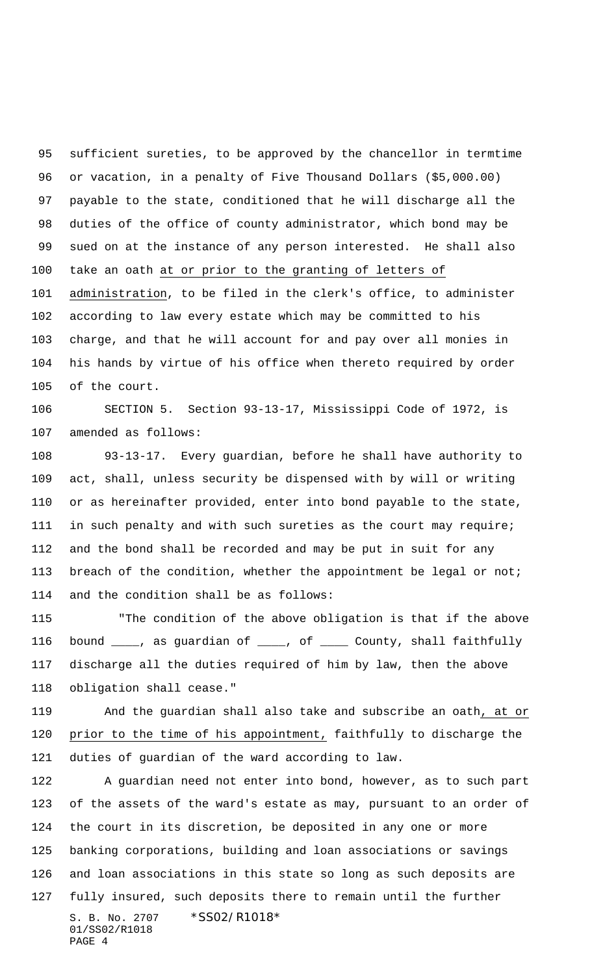sufficient sureties, to be approved by the chancellor in termtime or vacation, in a penalty of Five Thousand Dollars (\$5,000.00) payable to the state, conditioned that he will discharge all the duties of the office of county administrator, which bond may be sued on at the instance of any person interested. He shall also take an oath at or prior to the granting of letters of administration, to be filed in the clerk's office, to administer according to law every estate which may be committed to his charge, and that he will account for and pay over all monies in his hands by virtue of his office when thereto required by order of the court.

 SECTION 5. Section 93-13-17, Mississippi Code of 1972, is amended as follows:

 93-13-17. Every guardian, before he shall have authority to act, shall, unless security be dispensed with by will or writing or as hereinafter provided, enter into bond payable to the state, in such penalty and with such sureties as the court may require; and the bond shall be recorded and may be put in suit for any 113 breach of the condition, whether the appointment be legal or not; and the condition shall be as follows:

115 "The condition of the above obligation is that if the above bound \_\_\_\_, as guardian of \_\_\_\_, of \_\_\_\_ County, shall faithfully discharge all the duties required of him by law, then the above obligation shall cease."

 And the guardian shall also take and subscribe an oath, at or prior to the time of his appointment, faithfully to discharge the duties of guardian of the ward according to law.

S. B. No. 2707 \* SS02/R1018\* 01/SS02/R1018 PAGE 4 A guardian need not enter into bond, however, as to such part of the assets of the ward's estate as may, pursuant to an order of the court in its discretion, be deposited in any one or more banking corporations, building and loan associations or savings and loan associations in this state so long as such deposits are fully insured, such deposits there to remain until the further